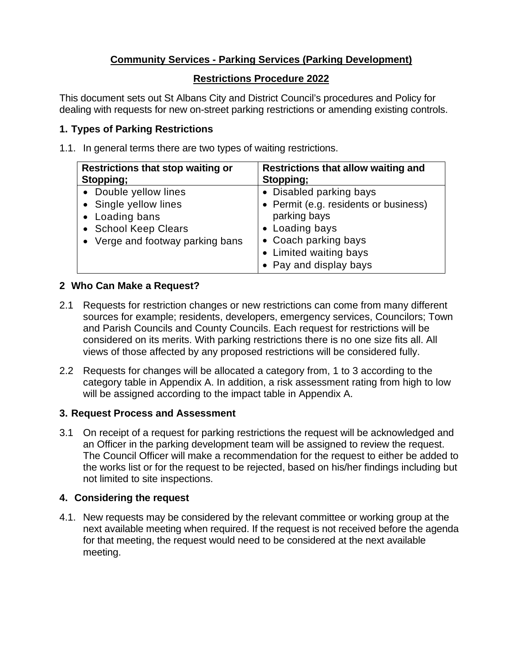# **Community Services - Parking Services (Parking Development)**

## **Restrictions Procedure 2022**

This document sets out St Albans City and District Council's procedures and Policy for dealing with requests for new on-street parking restrictions or amending existing controls.

# **1. Types of Parking Restrictions**

1.1. In general terms there are two types of waiting restrictions.

| <b>Restrictions that stop waiting or</b><br>Stopping; | Restrictions that allow waiting and<br>Stopping; |
|-------------------------------------------------------|--------------------------------------------------|
| • Double yellow lines                                 | • Disabled parking bays                          |
| • Single yellow lines                                 | • Permit (e.g. residents or business)            |
| • Loading bans                                        | parking bays                                     |
| • School Keep Clears                                  | • Loading bays                                   |
| • Verge and footway parking bans                      | • Coach parking bays                             |
|                                                       | • Limited waiting bays                           |
|                                                       | • Pay and display bays                           |

# **2 Who Can Make a Request?**

- 2.1 Requests for restriction changes or new restrictions can come from many different sources for example; residents, developers, emergency services, Councilors; Town and Parish Councils and County Councils. Each request for restrictions will be considered on its merits. With parking restrictions there is no one size fits all. All views of those affected by any proposed restrictions will be considered fully.
- 2.2 Requests for changes will be allocated a category from, 1 to 3 according to the category table in Appendix A. In addition, a risk assessment rating from high to low will be assigned according to the impact table in Appendix A.

## **3. Request Process and Assessment**

3.1 On receipt of a request for parking restrictions the request will be acknowledged and an Officer in the parking development team will be assigned to review the request. The Council Officer will make a recommendation for the request to either be added to the works list or for the request to be rejected, based on his/her findings including but not limited to site inspections.

## **4. Considering the request**

4.1. New requests may be considered by the relevant committee or working group at the next available meeting when required. If the request is not received before the agenda for that meeting, the request would need to be considered at the next available meeting.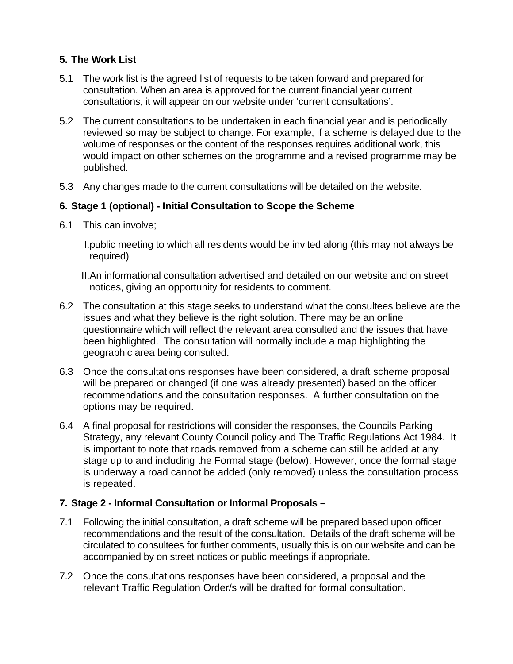# **5. The Work List**

- 5.1 The work list is the agreed list of requests to be taken forward and prepared for consultation. When an area is approved for the current financial year current consultations, it will appear on our website under 'current consultations'.
- 5.2 The current consultations to be undertaken in each financial year and is periodically reviewed so may be subject to change. For example, if a scheme is delayed due to the volume of responses or the content of the responses requires additional work, this would impact on other schemes on the programme and a revised programme may be published.
- 5.3 Any changes made to the current consultations will be detailed on the website.

## **6. Stage 1 (optional) - Initial Consultation to Scope the Scheme**

6.1 This can involve;

I.public meeting to which all residents would be invited along (this may not always be required)

- II.An informational consultation advertised and detailed on our website and on street notices, giving an opportunity for residents to comment.
- 6.2 The consultation at this stage seeks to understand what the consultees believe are the issues and what they believe is the right solution. There may be an online questionnaire which will reflect the relevant area consulted and the issues that have been highlighted. The consultation will normally include a map highlighting the geographic area being consulted.
- 6.3 Once the consultations responses have been considered, a draft scheme proposal will be prepared or changed (if one was already presented) based on the officer recommendations and the consultation responses. A further consultation on the options may be required.
- 6.4 A final proposal for restrictions will consider the responses, the Councils Parking Strategy, any relevant County Council policy and The Traffic Regulations Act 1984. It is important to note that roads removed from a scheme can still be added at any stage up to and including the Formal stage (below). However, once the formal stage is underway a road cannot be added (only removed) unless the consultation process is repeated.

## **7. Stage 2 - Informal Consultation or Informal Proposals –**

- 7.1 Following the initial consultation, a draft scheme will be prepared based upon officer recommendations and the result of the consultation. Details of the draft scheme will be circulated to consultees for further comments, usually this is on our website and can be accompanied by on street notices or public meetings if appropriate.
- 7.2 Once the consultations responses have been considered, a proposal and the relevant Traffic Regulation Order/s will be drafted for formal consultation.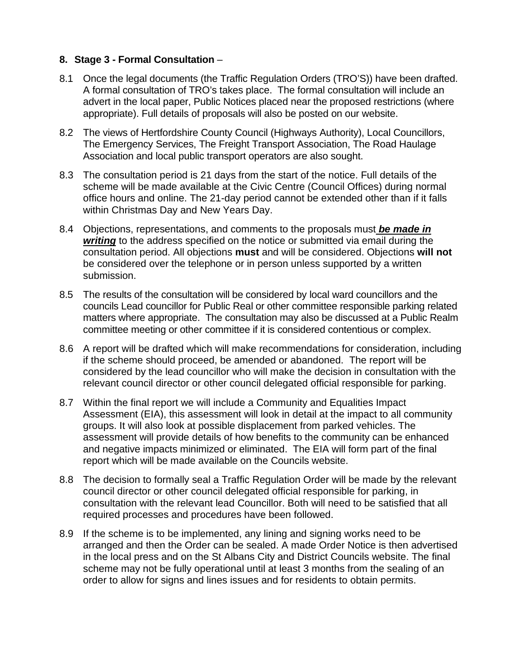#### **8. Stage 3 - Formal Consultation** –

- 8.1 Once the legal documents (the Traffic Regulation Orders (TRO'S)) have been drafted. A formal consultation of TRO's takes place. The formal consultation will include an advert in the local paper, Public Notices placed near the proposed restrictions (where appropriate). Full details of proposals will also be posted on our website.
- 8.2 The views of Hertfordshire County Council (Highways Authority), Local Councillors, The Emergency Services, The Freight Transport Association, The Road Haulage Association and local public transport operators are also sought.
- 8.3 The consultation period is 21 days from the start of the notice. Full details of the scheme will be made available at the Civic Centre (Council Offices) during normal office hours and online. The 21-day period cannot be extended other than if it falls within Christmas Day and New Years Day.
- 8.4 Objections, representations, and comments to the proposals must *be made in writing* to the address specified on the notice or submitted via email during the consultation period. All objections **must** and will be considered. Objections **will not** be considered over the telephone or in person unless supported by a written submission.
- 8.5 The results of the consultation will be considered by local ward councillors and the councils Lead councillor for Public Real or other committee responsible parking related matters where appropriate. The consultation may also be discussed at a Public Realm committee meeting or other committee if it is considered contentious or complex.
- 8.6 A report will be drafted which will make recommendations for consideration, including if the scheme should proceed, be amended or abandoned. The report will be considered by the lead councillor who will make the decision in consultation with the relevant council director or other council delegated official responsible for parking.
- 8.7 Within the final report we will include a Community and Equalities Impact Assessment (EIA), this assessment will look in detail at the impact to all community groups. It will also look at possible displacement from parked vehicles. The assessment will provide details of how benefits to the community can be enhanced and negative impacts minimized or eliminated. The EIA will form part of the final report which will be made available on the Councils website.
- 8.8 The decision to formally seal a Traffic Regulation Order will be made by the relevant council director or other council delegated official responsible for parking, in consultation with the relevant lead Councillor. Both will need to be satisfied that all required processes and procedures have been followed.
- 8.9 If the scheme is to be implemented, any lining and signing works need to be arranged and then the Order can be sealed. A made Order Notice is then advertised in the local press and on the St Albans City and District Councils website. The final scheme may not be fully operational until at least 3 months from the sealing of an order to allow for signs and lines issues and for residents to obtain permits.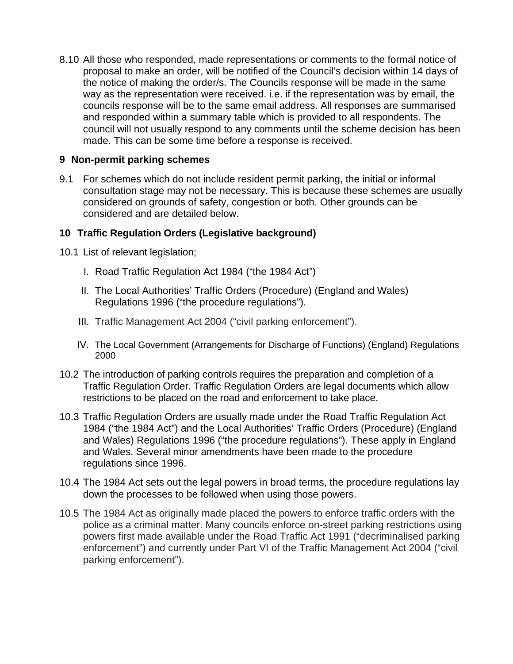8.10 All those who responded, made representations or comments to the formal notice of proposal to make an order, will be notified of the Council's decision within 14 days of the notice of making the order/s. The Councils response will be made in the same way as the representation were received. i.e. if the representation was by email, the councils response will be to the same email address. All responses are summarised and responded within a summary table which is provided to all respondents. The council will not usually respond to any comments until the scheme decision has been made. This can be some time before a response is received.

#### **9 Non-permit parking schemes**

9.1 For schemes which do not include resident permit parking, the initial or informal consultation stage may not be necessary. This is because these schemes are usually considered on grounds of safety, congestion or both. Other grounds can be considered and are detailed below.

#### **10 Traffic Regulation Orders (Legislative background)**

- 10.1 List of relevant legislation;
	- I. Road Traffic Regulation Act 1984 ("the 1984 Act")
	- II. The Local Authorities' Traffic Orders (Procedure) (England and Wales) Regulations 1996 ("the procedure regulations").
	- III. Traffic Management Act 2004 ("civil parking enforcement").
	- IV. The Local Government (Arrangements for Discharge of Functions) (England) Regulations 2000
- 10.2 The introduction of parking controls requires the preparation and completion of a Traffic Regulation Order. Traffic Regulation Orders are legal documents which allow restrictions to be placed on the road and enforcement to take place.
- 10.3 Traffic Regulation Orders are usually made under the Road Traffic Regulation Act 1984 ("the 1984 Act") and the Local Authorities' Traffic Orders (Procedure) (England and Wales) Regulations 1996 ("the procedure regulations"). These apply in England and Wales. Several minor amendments have been made to the procedure regulations since 1996.
- 10.4 The 1984 Act sets out the legal powers in broad terms, the procedure regulations lay down the processes to be followed when using those powers.
- 10.5 The 1984 Act as originally made placed the powers to enforce traffic orders with the police as a criminal matter. Many councils enforce on-street parking restrictions using powers first made available under the Road Traffic Act 1991 ("decriminalised parking enforcement") and currently under Part VI of the Traffic Management Act 2004 ("civil parking enforcement").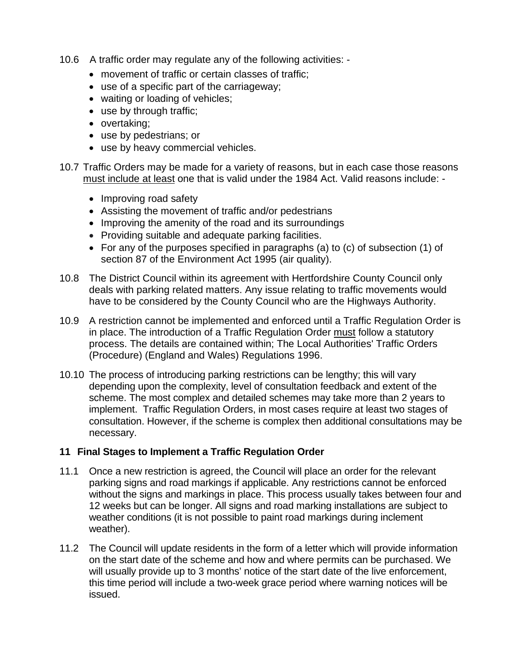- 10.6 A traffic order may regulate any of the following activities:
	- movement of traffic or certain classes of traffic;
	- use of a specific part of the carriageway;
	- waiting or loading of vehicles;
	- use by through traffic;
	- overtaking;
	- use by pedestrians; or
	- use by heavy commercial vehicles.
- 10.7 Traffic Orders may be made for a variety of reasons, but in each case those reasons must include at least one that is valid under the 1984 Act. Valid reasons include: -
	- Improving road safety
	- Assisting the movement of traffic and/or pedestrians
	- Improving the amenity of the road and its surroundings
	- Providing suitable and adequate parking facilities.
	- For any of the purposes specified in paragraphs (a) to (c) of subsection (1) of section 87 of the Environment Act 1995 (air quality).
- 10.8 The District Council within its agreement with Hertfordshire County Council only deals with parking related matters. Any issue relating to traffic movements would have to be considered by the County Council who are the Highways Authority.
- 10.9 A restriction cannot be implemented and enforced until a Traffic Regulation Order is in place. The introduction of a Traffic Regulation Order must follow a statutory process. The details are contained within; The Local Authorities' Traffic Orders (Procedure) (England and Wales) Regulations 1996.
- 10.10 The process of introducing parking restrictions can be lengthy; this will vary depending upon the complexity, level of consultation feedback and extent of the scheme. The most complex and detailed schemes may take more than 2 years to implement. Traffic Regulation Orders, in most cases require at least two stages of consultation. However, if the scheme is complex then additional consultations may be necessary.

#### **11 Final Stages to Implement a Traffic Regulation Order**

- 11.1 Once a new restriction is agreed, the Council will place an order for the relevant parking signs and road markings if applicable. Any restrictions cannot be enforced without the signs and markings in place. This process usually takes between four and 12 weeks but can be longer. All signs and road marking installations are subject to weather conditions (it is not possible to paint road markings during inclement weather).
- 11.2 The Council will update residents in the form of a letter which will provide information on the start date of the scheme and how and where permits can be purchased. We will usually provide up to 3 months' notice of the start date of the live enforcement, this time period will include a two-week grace period where warning notices will be issued.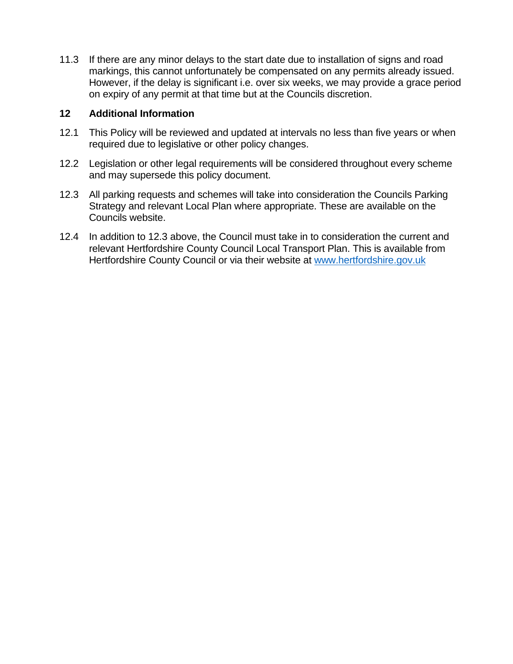11.3 If there are any minor delays to the start date due to installation of signs and road markings, this cannot unfortunately be compensated on any permits already issued. However, if the delay is significant i.e. over six weeks, we may provide a grace period on expiry of any permit at that time but at the Councils discretion.

#### **12 Additional Information**

- 12.1 This Policy will be reviewed and updated at intervals no less than five years or when required due to legislative or other policy changes.
- 12.2 Legislation or other legal requirements will be considered throughout every scheme and may supersede this policy document.
- 12.3 All parking requests and schemes will take into consideration the Councils Parking Strategy and relevant Local Plan where appropriate. These are available on the Councils website.
- 12.4 In addition to 12.3 above, the Council must take in to consideration the current and relevant Hertfordshire County Council Local Transport Plan. This is available from Hertfordshire County Council or via their website at www.hertfordshire.gov.uk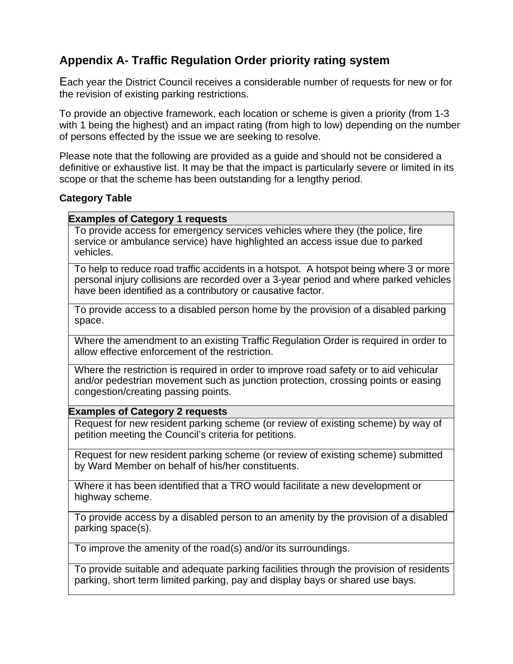# **Appendix A- Traffic Regulation Order priority rating system**

Each year the District Council receives a considerable number of requests for new or for the revision of existing parking restrictions.

To provide an objective framework, each location or scheme is given a priority (from 1-3 with 1 being the highest) and an impact rating (from high to low) depending on the number of persons effected by the issue we are seeking to resolve.

Please note that the following are provided as a guide and should not be considered a definitive or exhaustive list. It may be that the impact is particularly severe or limited in its scope or that the scheme has been outstanding for a lengthy period.

#### **Category Table**

#### **Examples of Category 1 requests**

To provide access for emergency services vehicles where they (the police, fire service or ambulance service) have highlighted an access issue due to parked vehicles.

To help to reduce road traffic accidents in a hotspot. A hotspot being where 3 or more personal injury collisions are recorded over a 3-year period and where parked vehicles have been identified as a contributory or causative factor.

To provide access to a disabled person home by the provision of a disabled parking space.

Where the amendment to an existing Traffic Regulation Order is required in order to allow effective enforcement of the restriction.

Where the restriction is required in order to improve road safety or to aid vehicular and/or pedestrian movement such as junction protection, crossing points or easing congestion/creating passing points.

#### **Examples of Category 2 requests**

Request for new resident parking scheme (or review of existing scheme) by way of petition meeting the Council's criteria for petitions.

Request for new resident parking scheme (or review of existing scheme) submitted by Ward Member on behalf of his/her constituents.

Where it has been identified that a TRO would facilitate a new development or highway scheme.

To provide access by a disabled person to an amenity by the provision of a disabled parking space(s).

To improve the amenity of the road(s) and/or its surroundings.

To provide suitable and adequate parking facilities through the provision of residents parking, short term limited parking, pay and display bays or shared use bays.